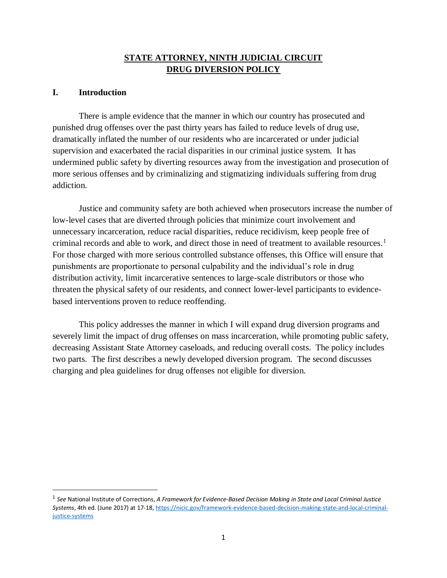# **STATE ATTORNEY, NINTH JUDICIAL CIRCUIT DRUG DIVERSION POLICY**

## **I. Introduction**

 $\overline{a}$ 

There is ample evidence that the manner in which our country has prosecuted and punished drug offenses over the past thirty years has failed to reduce levels of drug use, dramatically inflated the number of our residents who are incarcerated or under judicial supervision and exacerbated the racial disparities in our criminal justice system. It has undermined public safety by diverting resources away from the investigation and prosecution of more serious offenses and by criminalizing and stigmatizing individuals suffering from drug addiction.

Justice and community safety are both achieved when prosecutors increase the number of low-level cases that are diverted through policies that minimize court involvement and unnecessary incarceration, reduce racial disparities, reduce recidivism, keep people free of criminal records and able to work, and direct those in need of treatment to available resources.<sup>1</sup> For those charged with more serious controlled substance offenses, this Office will ensure that punishments are proportionate to personal culpability and the individual's role in drug distribution activity, limit incarcerative sentences to large-scale distributors or those who threaten the physical safety of our residents, and connect lower-level participants to evidencebased interventions proven to reduce reoffending.

This policy addresses the manner in which I will expand drug diversion programs and severely limit the impact of drug offenses on mass incarceration, while promoting public safety, decreasing Assistant State Attorney caseloads, and reducing overall costs. The policy includes two parts. The first describes a newly developed diversion program. The second discusses charging and plea guidelines for drug offenses not eligible for diversion.

<sup>1</sup> *See* National Institute of Corrections, *A Framework for Evidence-Based Decision Making in State and Local Criminal Justice Systems*, 4th ed. (June 2017) at 17-18[, https://nicic.gov/framework-evidence-based-decision-making-state-and-local-criminal](https://nicic.gov/framework-evidence-based-decision-making-state-and-local-criminal-justice-systems)[justice-systems](https://nicic.gov/framework-evidence-based-decision-making-state-and-local-criminal-justice-systems)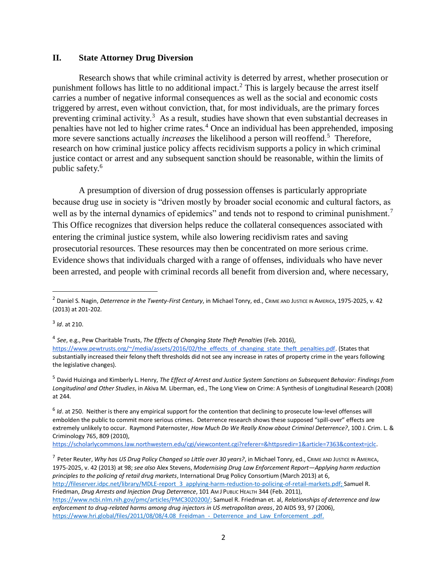### **II. State Attorney Drug Diversion**

Research shows that while criminal activity is deterred by arrest, whether prosecution or punishment follows has little to no additional impact.<sup>2</sup> This is largely because the arrest itself carries a number of negative informal consequences as well as the social and economic costs triggered by arrest, even without conviction, that, for most individuals, are the primary forces preventing criminal activity.<sup>3</sup> As a result, studies have shown that even substantial decreases in penalties have not led to higher crime rates.<sup>4</sup> Once an individual has been apprehended, imposing more severe sanctions actually *increases* the likelihood a person will reoffend.<sup>5</sup> Therefore, research on how criminal justice policy affects recidivism supports a policy in which criminal justice contact or arrest and any subsequent sanction should be reasonable, within the limits of public safety.<sup>6</sup>

A presumption of diversion of drug possession offenses is particularly appropriate because drug use in society is "driven mostly by broader social economic and cultural factors, as well as by the internal dynamics of epidemics" and tends not to respond to criminal punishment.<sup>7</sup> This Office recognizes that diversion helps reduce the collateral consequences associated with entering the criminal justice system, while also lowering recidivism rates and saving prosecutorial resources. These resources may then be concentrated on more serious crime. Evidence shows that individuals charged with a range of offenses, individuals who have never been arrested, and people with criminal records all benefit from diversion and, where necessary,

 $\overline{a}$ 

<sup>5</sup> David Huizinga and Kimberly L. Henry, *The Effect of Arrest and Justice System Sanctions on Subsequent Behavior: Findings from Longitudinal and Other Studies*, in Akiva M. Liberman, ed., The Long View on Crime: A Synthesis of Longitudinal Research (2008) at 244.

[https://scholarlycommons.law.northwestern.edu/cgi/viewcontent.cgi?referer=&httpsredir=1&article=7363&context=jclc.](https://scholarlycommons.law.northwestern.edu/cgi/viewcontent.cgi?referer=&httpsredir=1&article=7363&context=jclc)

<sup>&</sup>lt;sup>2</sup> Daniel S. Nagin, *Deterrence in the Twenty-First Century*, in Michael Tonry, ed., CRIME AND JUSTICE IN AMERICA, 1975-2025, v. 42 (2013) at 201-202.

<sup>3</sup> *Id*. at 210.

<sup>4</sup> *See*, e.g., Pew Charitable Trusts, *The Effects of Changing State Theft Penalties* (Feb. 2016), [https://www.pewtrusts.org/~/media/assets/2016/02/the\\_effects\\_of\\_changing\\_state\\_theft\\_penalties.pdf.](https://www.pewtrusts.org/~/media/assets/2016/02/the_effects_of_changing_state_theft_penalties.pdf) (States that substantially increased their felony theft thresholds did not see any increase in rates of property crime in the years following the legislative changes).

<sup>6</sup> *Id*. at 250. Neither is there any empirical support for the contention that declining to prosecute low-level offenses will embolden the public to commit more serious crimes. Deterrence research shows these supposed "spill-over" effects are extremely unlikely to occur. Raymond Paternoster, *How Much Do We Really Know about Criminal Deterrence?*, 100 J. Crim. L. & Criminology 765, 809 (2010[\),](https://scholarlycommons.law.northwestern.edu/cgi/viewcontent.cgi?referer=&httpsredir=1&article=7363&context=jclc)

<sup>7</sup> Peter Reuter, *Why has US Drug Policy Changed so Little over 30 years?*, in Michael Tonry, ed., CRIME AND JUSTICE IN AMERICA, 1975-2025, v. 42 (2013) at 98; *see also* Alex Stevens, *Modernising Drug Law Enforcement Report—Applying harm reduction principles to the policing of retail drug markets*, International Drug Policy Consortium (March 2013) at 6, [http://fileserver.idpc.net/library/MDLE-report\\_3\\_applying-harm-reduction-to-policing-of-retail-markets.pdf;](http://fileserver.idpc.net/library/MDLE-report_3_applying-harm-reduction-to-policing-of-retail-markets.pdf) Samuel R. Friedman, *Drug Arrests and Injection Drug Deterrence*, 101 AM J PUBLIC HEALTH 344 (Feb. 2011), [https://www.ncbi.nlm.nih.gov/pmc/articles/PMC3020200/;](https://www.ncbi.nlm.nih.gov/pmc/articles/PMC3020200/) Samuel R. Friedman et. al, *Relationships of deterrence and law enforcement to drug-related harms among drug injectors in US metropolitan areas*, 20 AIDS 93, 97 (2006), https://www.hri.global/files/2011/08/08/4.08 Freidman - Deterrence and Law Enforcement .pdf.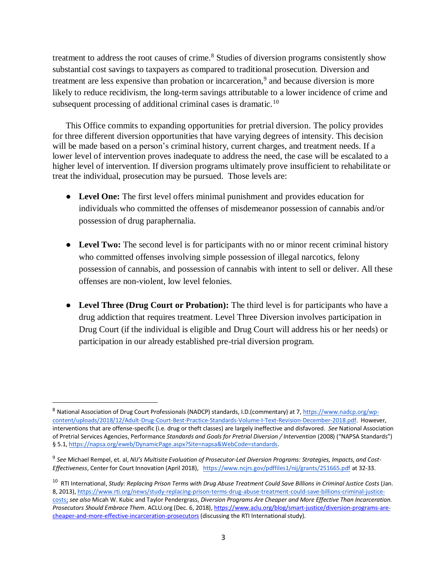treatment to address the root causes of crime.<sup>8</sup> Studies of diversion programs consistently show substantial cost savings to taxpayers as compared to traditional prosecution. Diversion and treatment are less expensive than probation or incarceration,<sup>9</sup> and because diversion is more likely to reduce recidivism, the long-term savings attributable to a lower incidence of crime and subsequent processing of additional criminal cases is dramatic.<sup>10</sup>

This Office commits to expanding opportunities for pretrial diversion. The policy provides for three different diversion opportunities that have varying degrees of intensity. This decision will be made based on a person's criminal history, current charges, and treatment needs. If a lower level of intervention proves inadequate to address the need, the case will be escalated to a higher level of intervention. If diversion programs ultimately prove insufficient to rehabilitate or treat the individual, prosecution may be pursued. Those levels are:

- **Level One:** The first level offers minimal punishment and provides education for individuals who committed the offenses of misdemeanor possession of cannabis and/or possession of drug paraphernalia.
- Level Two: The second level is for participants with no or minor recent criminal history who committed offenses involving simple possession of illegal narcotics, felony possession of cannabis, and possession of cannabis with intent to sell or deliver. All these offenses are non-violent, low level felonies.
- **Level Three (Drug Court or Probation):** The third level is for participants who have a drug addiction that requires treatment. Level Three Diversion involves participation in Drug Court (if the individual is eligible and Drug Court will address his or her needs) or participation in our already established pre-trial diversion program.

 $\overline{\phantom{a}}$ 

<sup>8</sup> National Association of Drug Court Professionals (NADCP) standards, I.D.(commentary) at 7, [https://www.nadcp.org/wp](https://www.nadcp.org/wp-content/uploads/2018/12/Adult-Drug-Court-Best-Practice-Standards-Volume-I-Text-Revision-December-2018.pdf)[content/uploads/2018/12/Adult-Drug-Court-Best-Practice-Standards-Volume-I-Text-Revision-December-2018.pdf.](https://www.nadcp.org/wp-content/uploads/2018/12/Adult-Drug-Court-Best-Practice-Standards-Volume-I-Text-Revision-December-2018.pdf) However, interventions that are offense-specific (i.e. drug or theft classes) are largely ineffective and disfavored. *See* National Association of Pretrial Services Agencies, Performance *Standards and Goals for Pretrial Diversion / Intervention* (2008) ("NAPSA Standards") § 5.1, https://napsa.org/eweb/DynamicPage.aspx?Site=napsa&WebCode=standards.

<sup>9</sup> *See* Michael Rempel, et. al, *NIJ's Multisite Evaluation of Prosecutor-Led Diversion Programs: Strategies, Impacts, and Cost-Effectiveness*, Center for Court Innovation (April 2018), <https://www.ncjrs.gov/pdffiles1/nij/grants/251665.pdf> at 32-33.

<sup>10</sup> RTI International, *Study: Replacing Prison Terms with Drug Abuse Treatment Could Save Billions in Criminal Justice Costs* (Jan. 8, 2013)[,](https://www.rti.org/news/study-replacing-prison-terms-drug-abuse-treatment-could-save-billions-criminal-justice-costs) [https://www.rti.org/news/study-replacing-prison-terms-drug-abuse-treatment-could-save-billions-criminal-justice](https://www.rti.org/news/study-replacing-prison-terms-drug-abuse-treatment-could-save-billions-criminal-justice-costs)[costs;](https://www.rti.org/news/study-replacing-prison-terms-drug-abuse-treatment-could-save-billions-criminal-justice-costs) *see also* Micah W. Kubic and Taylor Pendergrass, *Diversion Programs Are Cheaper and More Effective Than Incarceration. Prosecutors Should Embrace Them*. ACLU.org (Dec. 6, 2018)[,](https://www.aclu.org/blog/smart-justice/diversion-programs-are-cheaper-and-more-effective-incarceration-prosecutors) [https://www.aclu.org/blog/smart-justice/diversion-programs-are](https://www.aclu.org/blog/smart-justice/diversion-programs-are-cheaper-and-more-effective-incarceration-prosecutors)[cheaper-and-more-effective-incarceration-prosecutors](https://www.aclu.org/blog/smart-justice/diversion-programs-are-cheaper-and-more-effective-incarceration-prosecutors) (discussing the RTI International study).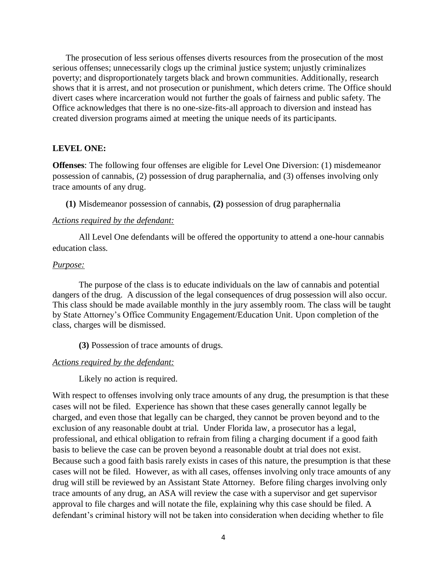The prosecution of less serious offenses diverts resources from the prosecution of the most serious offenses; unnecessarily clogs up the criminal justice system; unjustly criminalizes poverty; and disproportionately targets black and brown communities. Additionally, research shows that it is arrest, and not prosecution or punishment, which deters crime. The Office should divert cases where incarceration would not further the goals of fairness and public safety. The Office acknowledges that there is no one-size-fits-all approach to diversion and instead has created diversion programs aimed at meeting the unique needs of its participants.

#### **LEVEL ONE:**

**Offenses**: The following four offenses are eligible for Level One Diversion: (1) misdemeanor possession of cannabis, (2) possession of drug paraphernalia, and (3) offenses involving only trace amounts of any drug.

**(1)** Misdemeanor possession of cannabis, **(2)** possession of drug paraphernalia

#### *Actions required by the defendant:*

All Level One defendants will be offered the opportunity to attend a one-hour cannabis education class.

### *Purpose:*

The purpose of the class is to educate individuals on the law of cannabis and potential dangers of the drug. A discussion of the legal consequences of drug possession will also occur. This class should be made available monthly in the jury assembly room. The class will be taught by State Attorney's Office Community Engagement/Education Unit. Upon completion of the class, charges will be dismissed.

**(3)** Possession of trace amounts of drugs.

#### *Actions required by the defendant:*

Likely no action is required.

With respect to offenses involving only trace amounts of any drug, the presumption is that these cases will not be filed. Experience has shown that these cases generally cannot legally be charged, and even those that legally can be charged, they cannot be proven beyond and to the exclusion of any reasonable doubt at trial. Under Florida law, a prosecutor has a legal, professional, and ethical obligation to refrain from filing a charging document if a good faith basis to believe the case can be proven beyond a reasonable doubt at trial does not exist. Because such a good faith basis rarely exists in cases of this nature, the presumption is that these cases will not be filed. However, as with all cases, offenses involving only trace amounts of any drug will still be reviewed by an Assistant State Attorney. Before filing charges involving only trace amounts of any drug, an ASA will review the case with a supervisor and get supervisor approval to file charges and will notate the file, explaining why this case should be filed. A defendant's criminal history will not be taken into consideration when deciding whether to file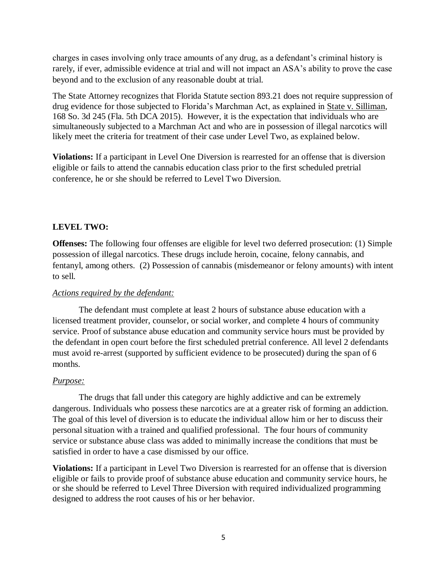charges in cases involving only trace amounts of any drug, as a defendant's criminal history is rarely, if ever, admissible evidence at trial and will not impact an ASA's ability to prove the case beyond and to the exclusion of any reasonable doubt at trial.

The State Attorney recognizes that Florida Statute section 893.21 does not require suppression of drug evidence for those subjected to Florida's Marchman Act, as explained in State v. Silliman, 168 So. 3d 245 (Fla. 5th DCA 2015). However, it is the expectation that individuals who are simultaneously subjected to a Marchman Act and who are in possession of illegal narcotics will likely meet the criteria for treatment of their case under Level Two, as explained below.

**Violations:** If a participant in Level One Diversion is rearrested for an offense that is diversion eligible or fails to attend the cannabis education class prior to the first scheduled pretrial conference, he or she should be referred to Level Two Diversion.

# **LEVEL TWO:**

**Offenses:** The following four offenses are eligible for level two deferred prosecution: (1) Simple possession of illegal narcotics. These drugs include heroin, cocaine, felony cannabis, and fentanyl, among others. (2) Possession of cannabis (misdemeanor or felony amounts) with intent to sell.

## *Actions required by the defendant:*

The defendant must complete at least 2 hours of substance abuse education with a licensed treatment provider, counselor, or social worker, and complete 4 hours of community service. Proof of substance abuse education and community service hours must be provided by the defendant in open court before the first scheduled pretrial conference. All level 2 defendants must avoid re-arrest (supported by sufficient evidence to be prosecuted) during the span of 6 months.

## *Purpose:*

The drugs that fall under this category are highly addictive and can be extremely dangerous. Individuals who possess these narcotics are at a greater risk of forming an addiction. The goal of this level of diversion is to educate the individual allow him or her to discuss their personal situation with a trained and qualified professional. The four hours of community service or substance abuse class was added to minimally increase the conditions that must be satisfied in order to have a case dismissed by our office.

**Violations:** If a participant in Level Two Diversion is rearrested for an offense that is diversion eligible or fails to provide proof of substance abuse education and community service hours, he or she should be referred to Level Three Diversion with required individualized programming designed to address the root causes of his or her behavior.